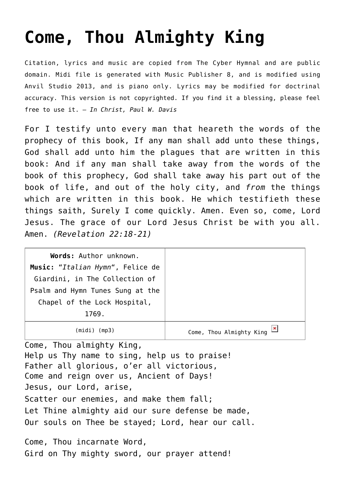## **[Come, Thou Almighty King](http://reproachofmen.org/hymns-and-music/come-thou-almighty-king/)**

Citation, lyrics and music are copied from [The Cyber Hymnal](http://www.hymntime.com/tch/) and are public domain. Midi file is generated with [Music Publisher 8](http://www.braeburn.co.uk/mp.htm), and is modified using [Anvil Studio 2013](http://www.anvilstudio.com/), and is piano only. Lyrics may be modified for doctrinal accuracy. This version is not copyrighted. If you find it a blessing, please feel free to use it. — *In Christ, Paul W. Davis*

For I testify unto every man that heareth the words of the prophecy of this book, If any man shall add unto these things, God shall add unto him the plagues that are written in this book: And if any man shall take away from the words of the book of this prophecy, God shall take away his part out of the book of life, and out of the holy city, and *from* the things which are written in this book. He which testifieth these things saith, Surely I come quickly. Amen. Even so, come, Lord Jesus. The grace of our Lord Jesus Christ be with you all. Amen. *(Revelation 22:18-21)*

| Words: Author unknown.           |                          |
|----------------------------------|--------------------------|
| Music: "Italian Hymn", Felice de |                          |
| Giardini, in The Collection of   |                          |
| Psalm and Hymn Tunes Sung at the |                          |
| Chapel of the Lock Hospital,     |                          |
| 1769.                            |                          |
| (midi)<br>(mp3)                  | Come, Thou Almighty King |

Come, Thou almighty King, Help us Thy name to sing, help us to praise! Father all glorious, o'er all victorious, Come and reign over us, Ancient of Days! Jesus, our Lord, arise, Scatter our enemies, and make them fall; Let Thine almighty aid our sure defense be made, Our souls on Thee be stayed; Lord, hear our call.

Come, Thou incarnate Word, Gird on Thy mighty sword, our prayer attend!